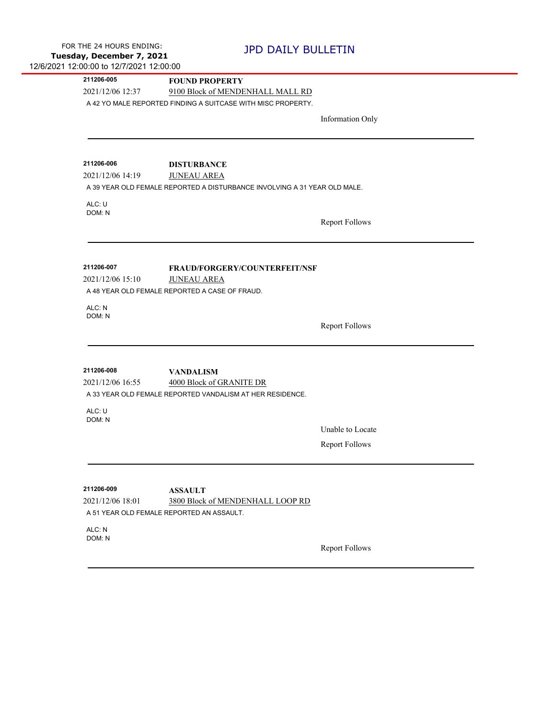$\overline{a}$ 

| 211206-005                     | <b>FOUND PROPERTY</b>                                                     |                         |
|--------------------------------|---------------------------------------------------------------------------|-------------------------|
| 2021/12/06 12:37               | 9100 Block of MENDENHALL MALL RD                                          |                         |
|                                | A 42 YO MALE REPORTED FINDING A SUITCASE WITH MISC PROPERTY.              |                         |
|                                |                                                                           | <b>Information Only</b> |
|                                |                                                                           |                         |
|                                |                                                                           |                         |
| 211206-006                     | <b>DISTURBANCE</b>                                                        |                         |
| 2021/12/06 14:19               | <b>JUNEAU AREA</b>                                                        |                         |
|                                | A 39 YEAR OLD FEMALE REPORTED A DISTURBANCE INVOLVING A 31 YEAR OLD MALE. |                         |
| ALC: U                         |                                                                           |                         |
| DOM: N                         |                                                                           | <b>Report Follows</b>   |
|                                |                                                                           |                         |
|                                |                                                                           |                         |
| 211206-007                     | <b>FRAUD/FORGERY/COUNTERFEIT/NSF</b>                                      |                         |
| 2021/12/06 15:10               | <b>JUNEAU AREA</b>                                                        |                         |
|                                | A 48 YEAR OLD FEMALE REPORTED A CASE OF FRAUD.                            |                         |
| ALC: N                         |                                                                           |                         |
| DOM: N                         |                                                                           |                         |
|                                |                                                                           | <b>Report Follows</b>   |
|                                |                                                                           |                         |
| 211206-008                     | <b>VANDALISM</b>                                                          |                         |
| 2021/12/06 16:55               | 4000 Block of GRANITE DR                                                  |                         |
|                                | A 33 YEAR OLD FEMALE REPORTED VANDALISM AT HER RESIDENCE.                 |                         |
| ALC: U                         |                                                                           |                         |
| DOM: N                         |                                                                           |                         |
|                                |                                                                           | Unable to Locate        |
|                                |                                                                           | <b>Report Follows</b>   |
|                                |                                                                           |                         |
|                                |                                                                           |                         |
| 211206-009<br>2021/12/06 18:01 | <b>ASSAULT</b><br>3800 Block of MENDENHALL LOOP RD                        |                         |
|                                | A 51 YEAR OLD FEMALE REPORTED AN ASSAULT.                                 |                         |
|                                |                                                                           |                         |
| ALC: N<br>DOM: N               |                                                                           |                         |
|                                |                                                                           | <b>Report Follows</b>   |
|                                |                                                                           |                         |